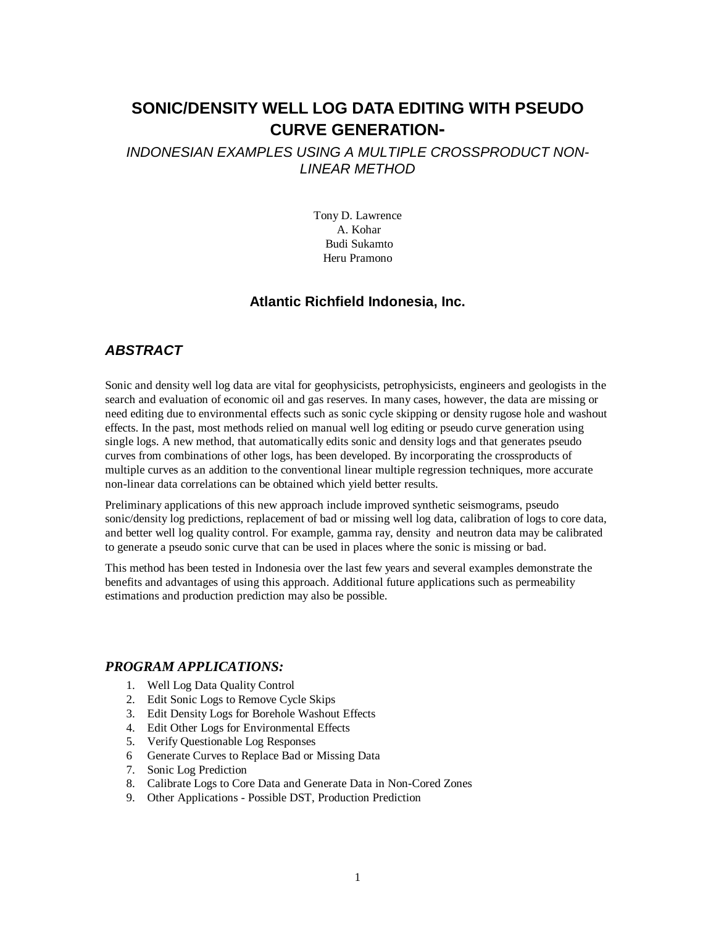# **SONIC/DENSITY WELL LOG DATA EDITING WITH PSEUDO CURVE GENERATION-**

### *INDONESIAN EXAMPLES USING A MULTIPLE CROSSPRODUCT NON-LINEAR METHOD*

Tony D. Lawrence A. Kohar Budi Sukamto Heru Pramono

### **Atlantic Richfield Indonesia, Inc.**

## *ABSTRACT*

Sonic and density well log data are vital for geophysicists, petrophysicists, engineers and geologists in the search and evaluation of economic oil and gas reserves. In many cases, however, the data are missing or need editing due to environmental effects such as sonic cycle skipping or density rugose hole and washout effects. In the past, most methods relied on manual well log editing or pseudo curve generation using single logs. A new method, that automatically edits sonic and density logs and that generates pseudo curves from combinations of other logs, has been developed. By incorporating the crossproducts of multiple curves as an addition to the conventional linear multiple regression techniques, more accurate non-linear data correlations can be obtained which yield better results.

Preliminary applications of this new approach include improved synthetic seismograms, pseudo sonic/density log predictions, replacement of bad or missing well log data, calibration of logs to core data, and better well log quality control. For example, gamma ray, density and neutron data may be calibrated to generate a pseudo sonic curve that can be used in places where the sonic is missing or bad.

This method has been tested in Indonesia over the last few years and several examples demonstrate the benefits and advantages of using this approach. Additional future applications such as permeability estimations and production prediction may also be possible.

### *PROGRAM APPLICATIONS:*

- 1. Well Log Data Quality Control
- 2. Edit Sonic Logs to Remove Cycle Skips
- 3. Edit Density Logs for Borehole Washout Effects
- 4. Edit Other Logs for Environmental Effects
- 5. Verify Questionable Log Responses
- 6 Generate Curves to Replace Bad or Missing Data
- 7. Sonic Log Prediction
- 8. Calibrate Logs to Core Data and Generate Data in Non-Cored Zones
- 9. Other Applications Possible DST, Production Prediction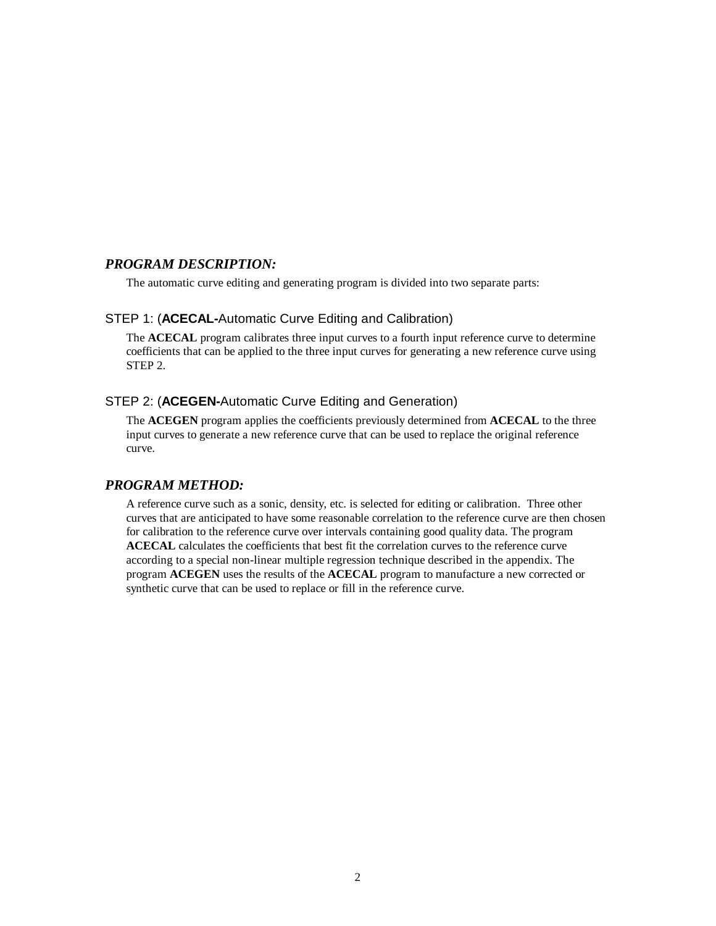### *PROGRAM DESCRIPTION:*

The automatic curve editing and generating program is divided into two separate parts:

### STEP 1: (**ACECAL-**Automatic Curve Editing and Calibration)

The **ACECAL** program calibrates three input curves to a fourth input reference curve to determine coefficients that can be applied to the three input curves for generating a new reference curve using STEP 2.

### STEP 2: (**ACEGEN-**Automatic Curve Editing and Generation)

The **ACEGEN** program applies the coefficients previously determined from **ACECAL** to the three input curves to generate a new reference curve that can be used to replace the original reference curve.

#### *PROGRAM METHOD:*

A reference curve such as a sonic, density, etc. is selected for editing or calibration. Three other curves that are anticipated to have some reasonable correlation to the reference curve are then chosen for calibration to the reference curve over intervals containing good quality data. The program **ACECAL** calculates the coefficients that best fit the correlation curves to the reference curve according to a special non-linear multiple regression technique described in the appendix. The program **ACEGEN** uses the results of the **ACECAL** program to manufacture a new corrected or synthetic curve that can be used to replace or fill in the reference curve.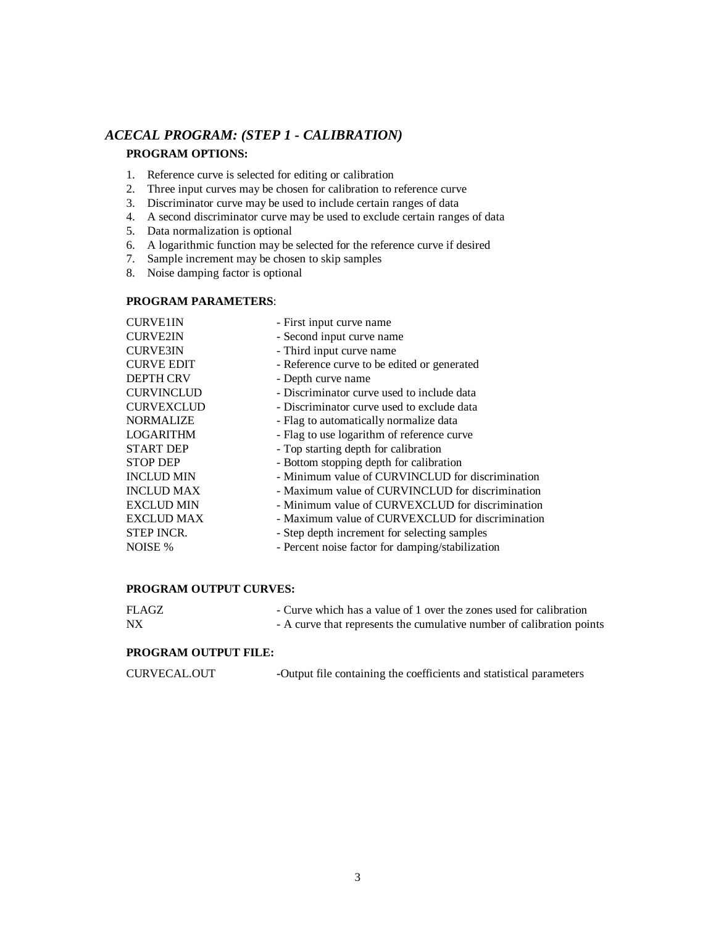# *ACECAL PROGRAM: (STEP 1 - CALIBRATION)*  **PROGRAM OPTIONS:**

- 1. Reference curve is selected for editing or calibration
- 2. Three input curves may be chosen for calibration to reference curve
- 3. Discriminator curve may be used to include certain ranges of data
- 4. A second discriminator curve may be used to exclude certain ranges of data
- 5. Data normalization is optional
- 6. A logarithmic function may be selected for the reference curve if desired
- 7. Sample increment may be chosen to skip samples
- 8. Noise damping factor is optional

#### **PROGRAM PARAMETERS**:

| <b>CURVE1IN</b>   | - First input curve name                         |
|-------------------|--------------------------------------------------|
| <b>CURVE2IN</b>   | - Second input curve name                        |
| <b>CURVE3IN</b>   | - Third input curve name                         |
| <b>CURVE EDIT</b> | - Reference curve to be edited or generated      |
| <b>DEPTH CRV</b>  | - Depth curve name                               |
| <b>CURVINCLUD</b> | - Discriminator curve used to include data       |
| <b>CURVEXCLUD</b> | - Discriminator curve used to exclude data       |
| <b>NORMALIZE</b>  | - Flag to automatically normalize data           |
| <b>LOGARITHM</b>  | - Flag to use logarithm of reference curve       |
| <b>START DEP</b>  | - Top starting depth for calibration             |
| <b>STOP DEP</b>   | - Bottom stopping depth for calibration          |
| <b>INCLUD MIN</b> | - Minimum value of CURVINCLUD for discrimination |
| <b>INCLUD MAX</b> | - Maximum value of CURVINCLUD for discrimination |
| <b>EXCLUD MIN</b> | - Minimum value of CURVEXCLUD for discrimination |
| <b>EXCLUD MAX</b> | - Maximum value of CURVEXCLUD for discrimination |
| <b>STEP INCR.</b> | - Step depth increment for selecting samples     |
| NOISE %           | - Percent noise factor for damping/stabilization |

#### **PROGRAM OUTPUT CURVES:**

| <b>FLAGZ</b> | - Curve which has a value of 1 over the zones used for calibration    |
|--------------|-----------------------------------------------------------------------|
| <b>NX</b>    | - A curve that represents the cumulative number of calibration points |

#### **PROGRAM OUTPUT FILE:**

| <b>CURVECAL.OUT</b> | -Output file containing the coefficients and statistical parameters |  |
|---------------------|---------------------------------------------------------------------|--|
|---------------------|---------------------------------------------------------------------|--|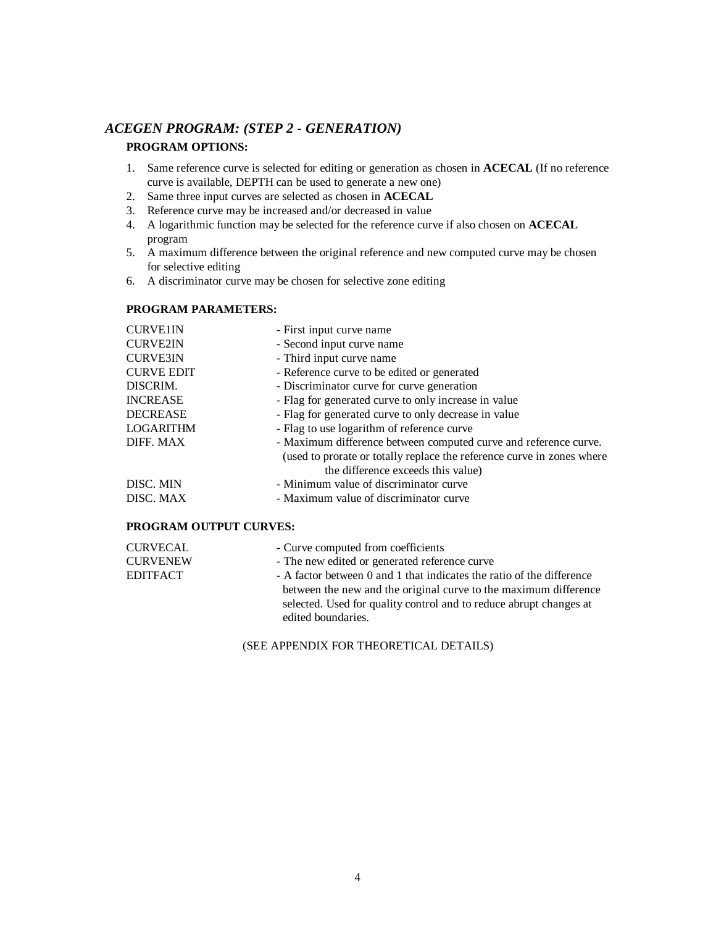### *ACEGEN PROGRAM: (STEP 2 - GENERATION)*

### **PROGRAM OPTIONS:**

- 1. Same reference curve is selected for editing or generation as chosen in **ACECAL** (If no reference curve is available, DEPTH can be used to generate a new one)
- 2. Same three input curves are selected as chosen in **ACECAL**
- 3. Reference curve may be increased and/or decreased in value
- 4. A logarithmic function may be selected for the reference curve if also chosen on **ACECAL**  program
- 5. A maximum difference between the original reference and new computed curve may be chosen for selective editing
- 6. A discriminator curve may be chosen for selective zone editing

### **PROGRAM PARAMETERS:**

| <b>CURVE1IN</b>   | - First input curve name                                               |
|-------------------|------------------------------------------------------------------------|
| <b>CURVE2IN</b>   | - Second input curve name                                              |
| <b>CURVE3IN</b>   | - Third input curve name                                               |
| <b>CURVE EDIT</b> | - Reference curve to be edited or generated                            |
| DISCRIM.          | - Discriminator curve for curve generation                             |
| <b>INCREASE</b>   | - Flag for generated curve to only increase in value                   |
| <b>DECREASE</b>   | - Flag for generated curve to only decrease in value                   |
| LOGARITHM         | - Flag to use logarithm of reference curve                             |
| DIFF. MAX         | - Maximum difference between computed curve and reference curve.       |
|                   | (used to prorate or totally replace the reference curve in zones where |
|                   | the difference exceeds this value)                                     |
| DISC. MIN         | - Minimum value of discriminator curve                                 |
| DISC. MAX         | - Maximum value of discriminator curve                                 |
|                   |                                                                        |

### **PROGRAM OUTPUT CURVES:**

| <b>CURVECAL</b> | - Curve computed from coefficients                                    |
|-----------------|-----------------------------------------------------------------------|
| <b>CURVENEW</b> | - The new edited or generated reference curve                         |
| <b>EDITFACT</b> | - A factor between 0 and 1 that indicates the ratio of the difference |
|                 | between the new and the original curve to the maximum difference      |
|                 | selected. Used for quality control and to reduce abrupt changes at    |
|                 | edited boundaries.                                                    |

(SEE APPENDIX FOR THEORETICAL DETAILS)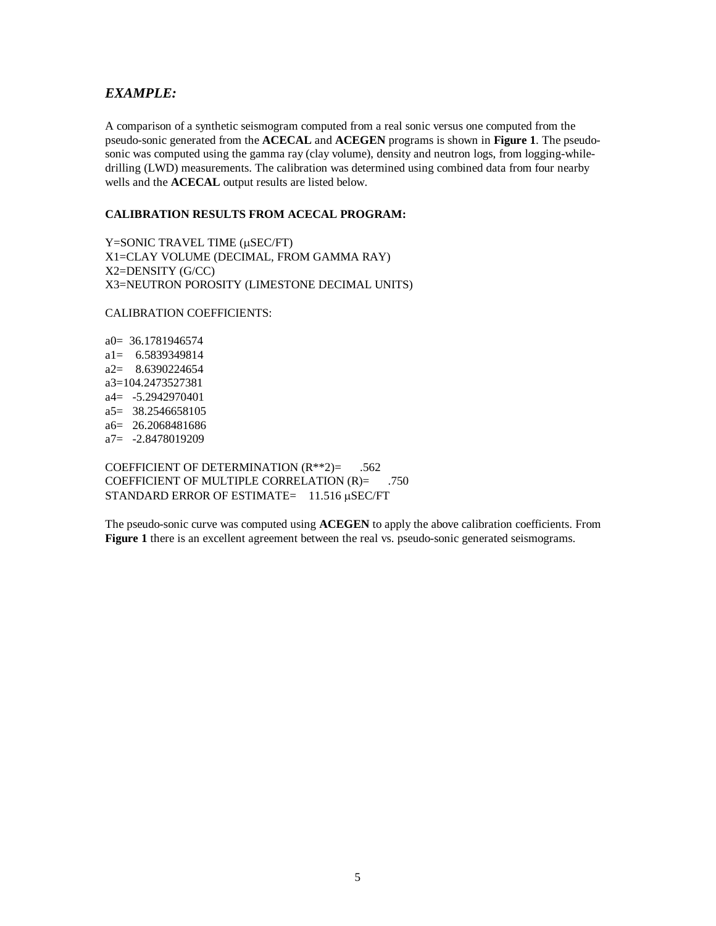### *EXAMPLE:*

A comparison of a synthetic seismogram computed from a real sonic versus one computed from the pseudo-sonic generated from the **ACECAL** and **ACEGEN** programs is shown in **Figure 1**. The pseudosonic was computed using the gamma ray (clay volume), density and neutron logs, from logging-whiledrilling (LWD) measurements. The calibration was determined using combined data from four nearby wells and the **ACECAL** output results are listed below.

### **CALIBRATION RESULTS FROM ACECAL PROGRAM:**

Y=SONIC TRAVEL TIME (µSEC/FT) X1=CLAY VOLUME (DECIMAL, FROM GAMMA RAY) X2=DENSITY (G/CC) X3=NEUTRON POROSITY (LIMESTONE DECIMAL UNITS)

CALIBRATION COEFFICIENTS:

a0= 36.1781946574 a1= 6.5839349814 a2= 8.6390224654 a3=104.2473527381 a4= -5.2942970401 a5= 38.2546658105 a6= 26.2068481686 a7= -2.8478019209

COEFFICIENT OF DETERMINATION  $(R**2) =$  .562 COEFFICIENT OF MULTIPLE CORRELATION (R)= .750 STANDARD ERROR OF ESTIMATE $= 11.516 \mu$ SEC/FT

The pseudo-sonic curve was computed using **ACEGEN** to apply the above calibration coefficients. From **Figure 1** there is an excellent agreement between the real vs. pseudo-sonic generated seismograms.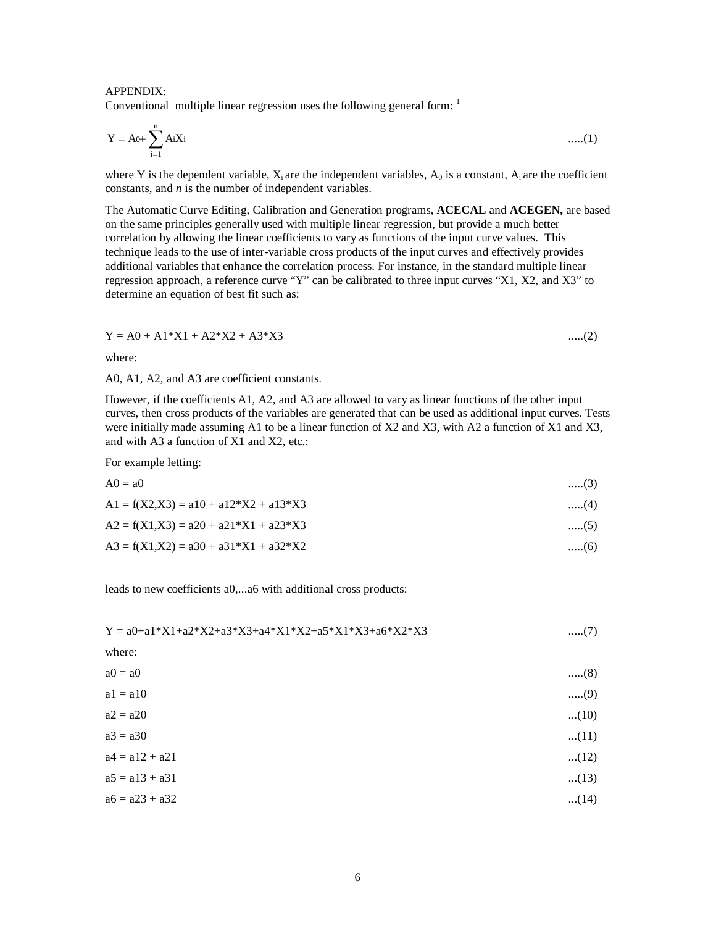#### APPENDIX: Conventional multiple linear regression uses the following general form:  $\frac{1}{1}$

$$
Y = A_0 + \sum_{i=1}^{n} A_i X_i \tag{1}
$$

where Y is the dependent variable,  $X_i$  are the independent variables,  $A_0$  is a constant,  $A_i$  are the coefficient constants, and *n* is the number of independent variables.

The Automatic Curve Editing, Calibration and Generation programs, **ACECAL** and **ACEGEN,** are based on the same principles generally used with multiple linear regression, but provide a much better correlation by allowing the linear coefficients to vary as functions of the input curve values. This technique leads to the use of inter-variable cross products of the input curves and effectively provides additional variables that enhance the correlation process. For instance, in the standard multiple linear regression approach, a reference curve "Y" can be calibrated to three input curves "X1, X2, and X3" to determine an equation of best fit such as:

$$
Y = A0 + A1*X1 + A2*X2 + A3*X3 \qquad \qquad \dots (2)
$$

where:

A0, A1, A2, and A3 are coefficient constants.

However, if the coefficients A1, A2, and A3 are allowed to vary as linear functions of the other input curves, then cross products of the variables are generated that can be used as additional input curves. Tests were initially made assuming A1 to be a linear function of X2 and X3, with A2 a function of X1 and X3, and with A3 a function of X1 and X2, etc.:

For example letting:

| $A0 = a0$                                | $\dots(3)$ |
|------------------------------------------|------------|
| $A1 = f(X2, X3) = a10 + a12*X2 + a13*X3$ | $\dots(4)$ |
| $A2 = f(X1,X3) = a20 + a21*X1 + a23*X3$  | $\dots(5)$ |
| $A3 = f(X1, X2) = a30 + a31*X1 + a32*X2$ | $\dots(6)$ |

leads to new coefficients a0,...a6 with additional cross products:

| $(7)$  |
|--------|
|        |
| $(8)$  |
| $(9)$  |
| $(10)$ |
| $(11)$ |
| $(12)$ |
| $(13)$ |
| $(14)$ |
|        |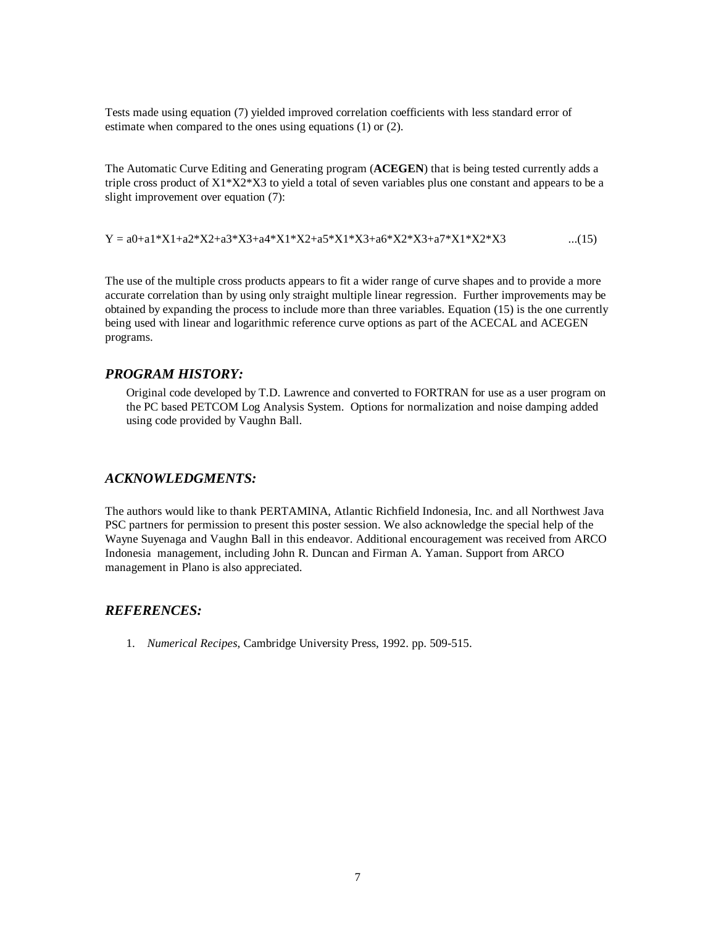Tests made using equation (7) yielded improved correlation coefficients with less standard error of estimate when compared to the ones using equations (1) or (2).

The Automatic Curve Editing and Generating program (**ACEGEN**) that is being tested currently adds a triple cross product of  $X1^*X2^*X3$  to yield a total of seven variables plus one constant and appears to be a slight improvement over equation (7):

$$
Y = a0 + a1 * X1 + a2 * X2 + a3 * X3 + a4 * X1 * X2 + a5 * X1 * X3 + a6 * X2 * X3 + a7 * X1 * X2 * X3
$$
...(15)

The use of the multiple cross products appears to fit a wider range of curve shapes and to provide a more accurate correlation than by using only straight multiple linear regression. Further improvements may be obtained by expanding the process to include more than three variables. Equation (15) is the one currently being used with linear and logarithmic reference curve options as part of the ACECAL and ACEGEN programs.

#### *PROGRAM HISTORY:*

Original code developed by T.D. Lawrence and converted to FORTRAN for use as a user program on the PC based PETCOM Log Analysis System. Options for normalization and noise damping added using code provided by Vaughn Ball.

### *ACKNOWLEDGMENTS:*

The authors would like to thank PERTAMINA, Atlantic Richfield Indonesia, Inc. and all Northwest Java PSC partners for permission to present this poster session. We also acknowledge the special help of the Wayne Suyenaga and Vaughn Ball in this endeavor. Additional encouragement was received from ARCO Indonesia management, including John R. Duncan and Firman A. Yaman. Support from ARCO management in Plano is also appreciated.

### *REFERENCES:*

1. *Numerical Recipes*, Cambridge University Press, 1992. pp. 509-515.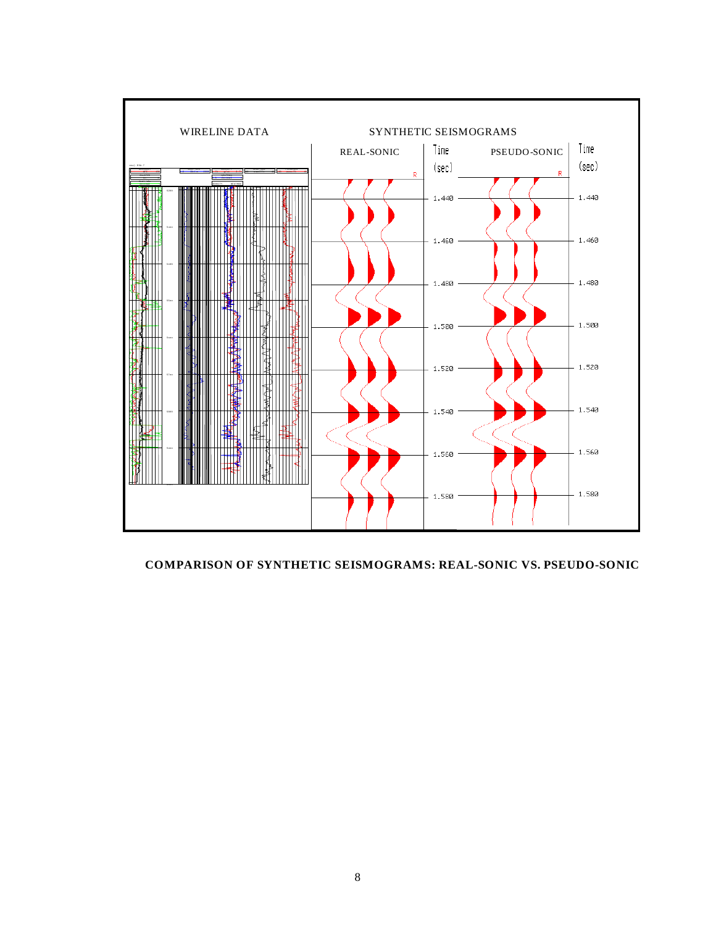

#### **COMPARISON OF SYNTHETIC SEISMOGRAMS: REAL-SONIC VS. PSEUDO-SONIC**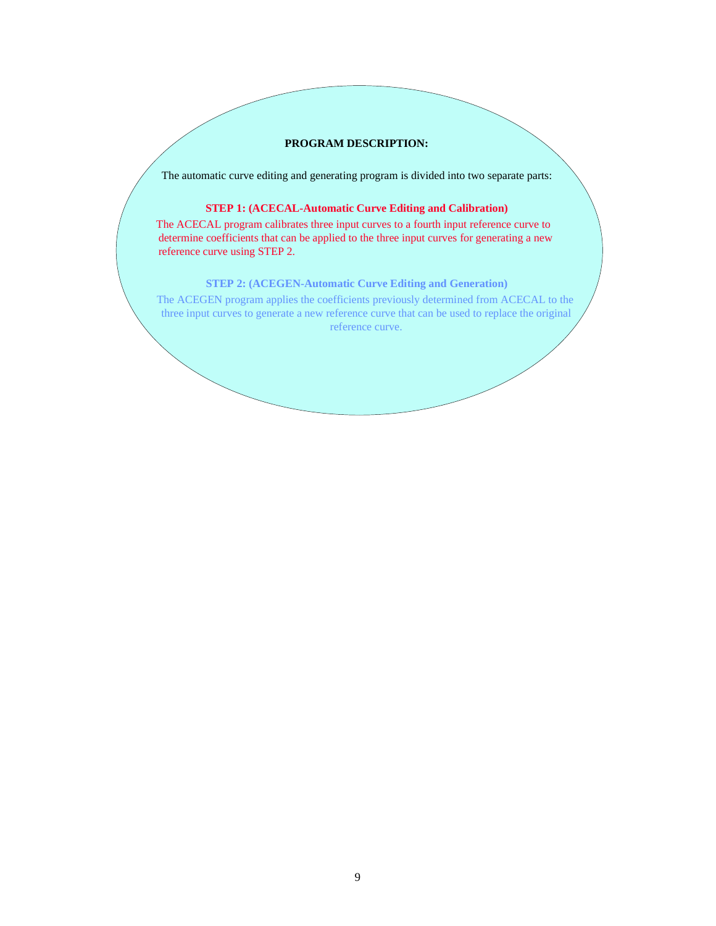### **PROGRAM DESCRIPTION:**

The automatic curve editing and generating program is divided into two separate parts:

### **STEP 1: (ACECAL-Automatic Curve Editing and Calibration)**

 The ACECAL program calibrates three input curves to a fourth input reference curve to determine coefficients that can be applied to the three input curves for generating a new reference curve using STEP 2.

### **STEP 2: (ACEGEN-Automatic Curve Editing and Generation)**

 The ACEGEN program applies the coefficients previously determined from ACECAL to the three input curves to generate a new reference curve that can be used to replace the original reference curve.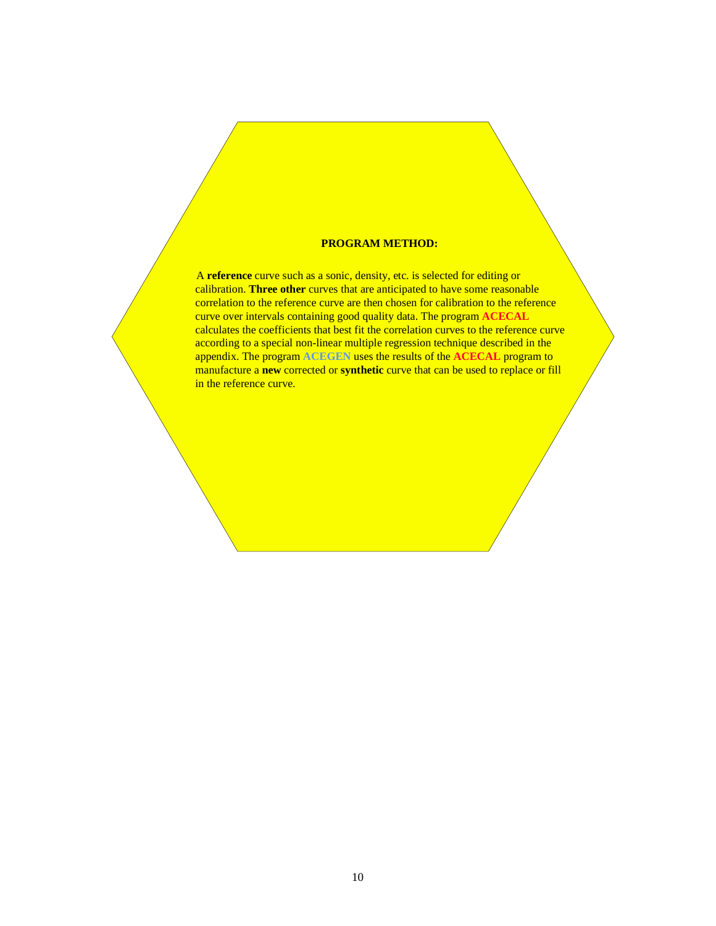#### **PROGRAM METHOD:**

A **reference** curve such as a sonic, density, etc. is selected for editing or calibration. **Three other** curves that are anticipated to have some reasonable correlation to the reference curve are then chosen for calibration to the reference curve over intervals containing good quality data. The program **ACECAL** calculates the coefficients that best fit the correlation curves to the reference curve according to a special non-linear multiple regression technique described in the appendix. The program **ACEGEN** uses the results of the **ACECAL** program to manufacture a **new** corrected or **synthetic** curve that can be used to replace or fill in the reference curve.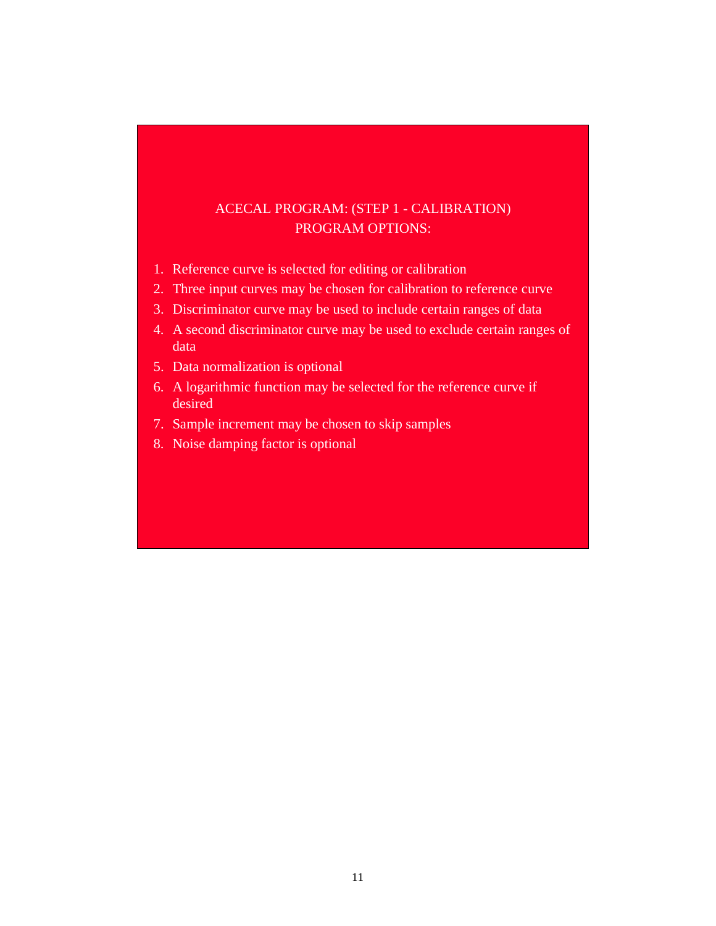# ACECAL PROGRAM: (STEP 1 - CALIBRATION) PROGRAM OPTIONS:

- 1. Reference curve is selected for editing or calibration
- 2. Three input curves may be chosen for calibration to reference curve
- 3. Discriminator curve may be used to include certain ranges of data
- 4. A second discriminator curve may be used to exclude certain ranges of data
- 5. Data normalization is optional
- 6. A logarithmic function may be selected for the reference curve if desired
- 7. Sample increment may be chosen to skip samples
- 8. Noise damping factor is optional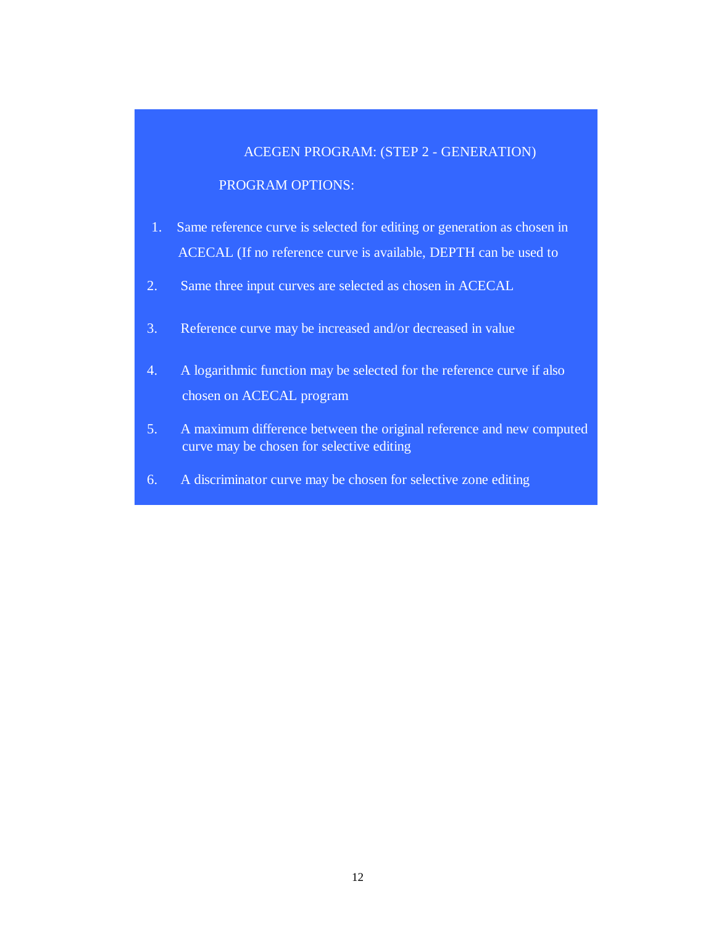### ACEGEN PROGRAM: (STEP 2 - GENERATION)

### PROGRAM OPTIONS:

- Same reference curve is selected for editing or generation as chosen in ACECAL (If no reference curve is available, DEPTH can be used to 1.
- 2. Same three input curves are selected as chosen in ACECAL
- 3. Reference curve may be increased and/or decreased in value
- 4. A logarithmic function may be selected for the reference curve if also chosen on ACECAL program
- 5. A maximum difference between the original reference and new computed curve may be chosen for selective editing
- 6. A discriminator curve may be chosen for selective zone editing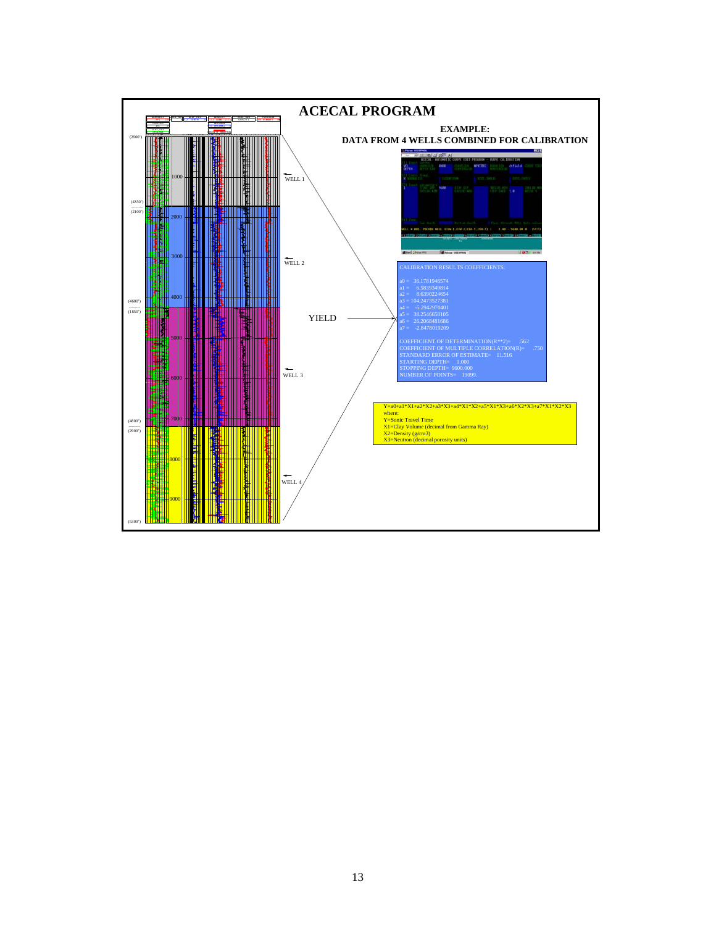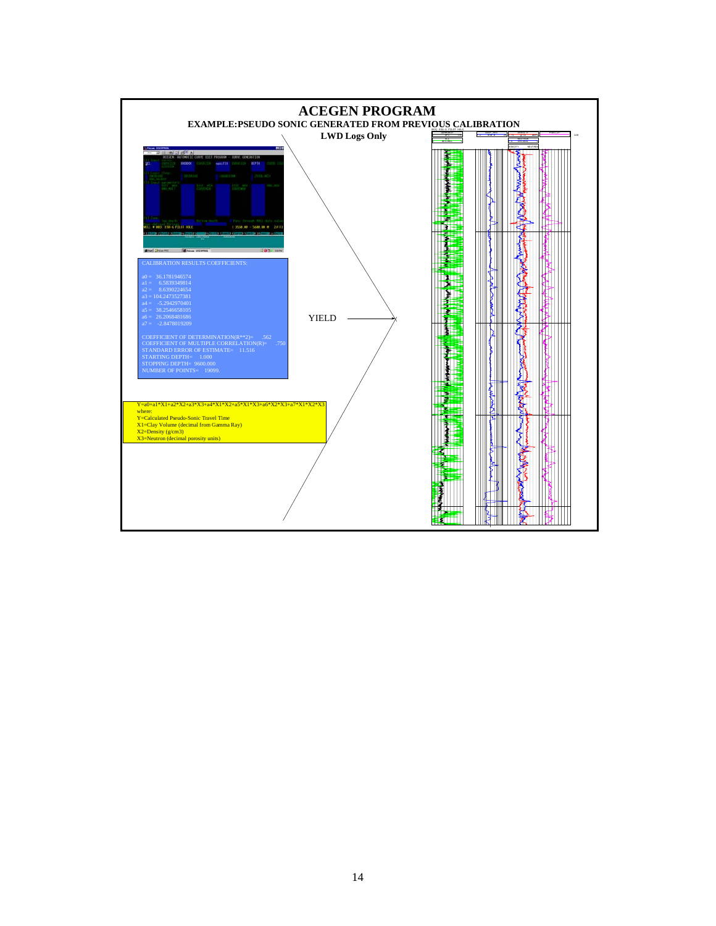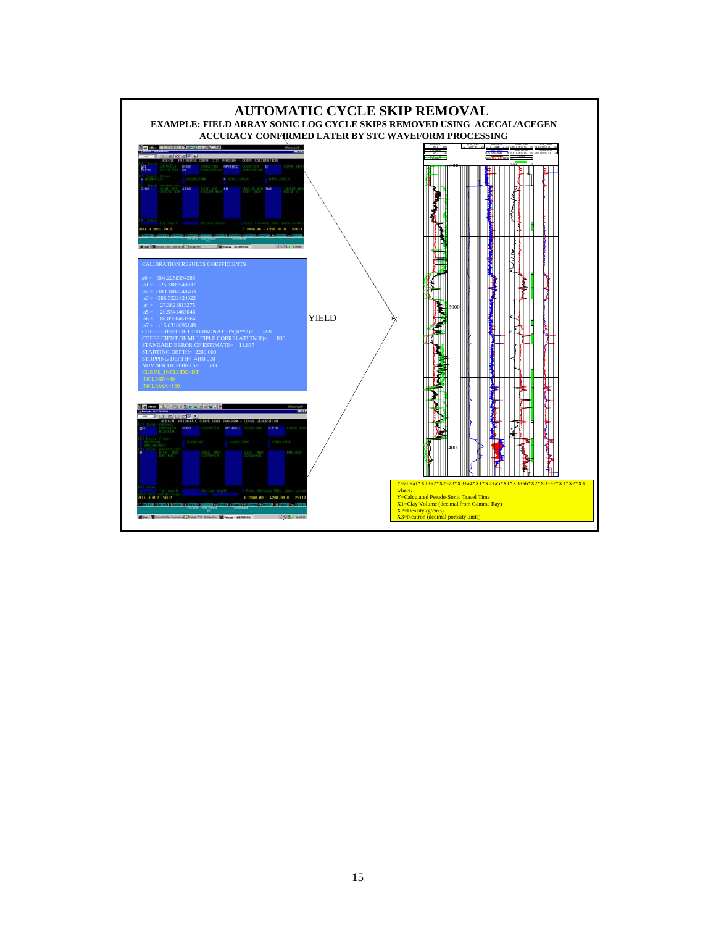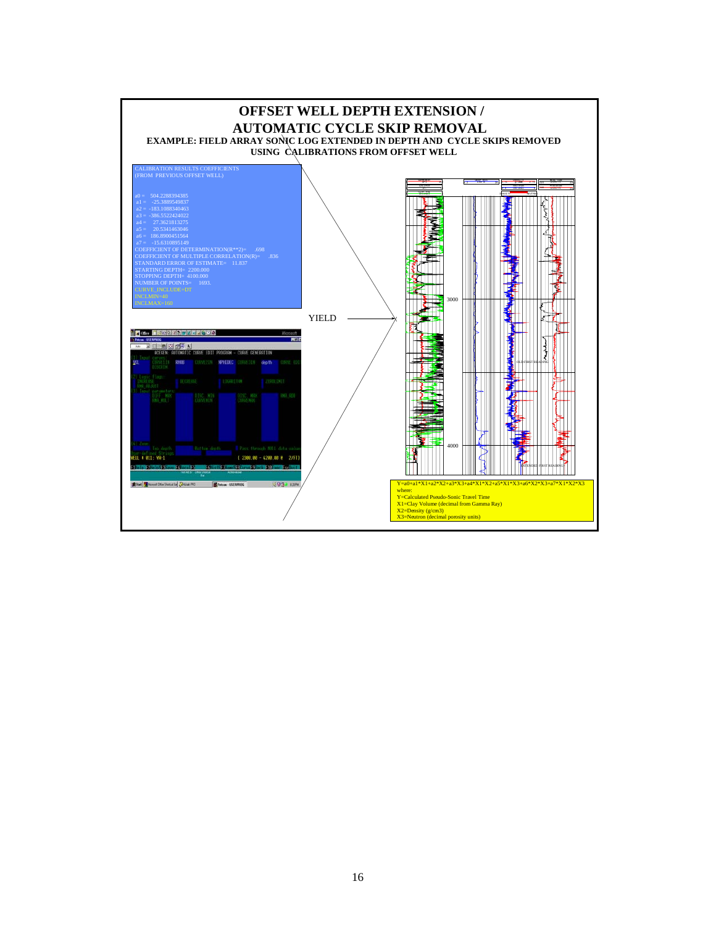